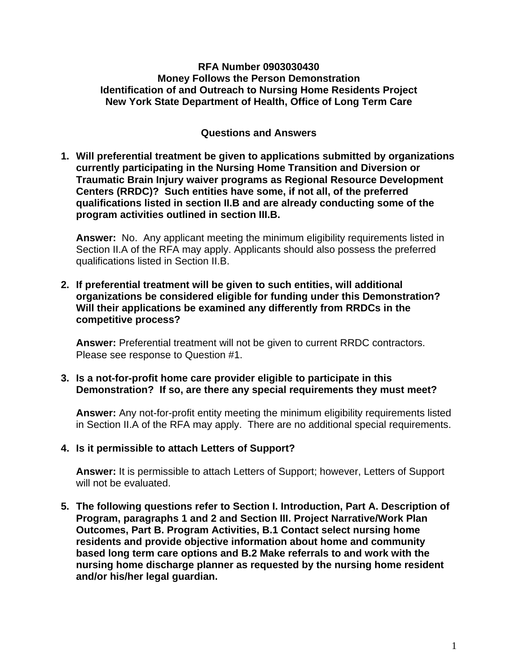## **RFA Number 0903030430 Money Follows the Person Demonstration Identification of and Outreach to Nursing Home Residents Project New York State Department of Health, Office of Long Term Care**

## **Questions and Answers**

**1. Will preferential treatment be given to applications submitted by organizations currently participating in the Nursing Home Transition and Diversion or Traumatic Brain Injury waiver programs as Regional Resource Development Centers (RRDC)? Such entities have some, if not all, of the preferred qualifications listed in section II.B and are already conducting some of the program activities outlined in section III.B.** 

 **Answer:** No. Any applicant meeting the minimum eligibility requirements listed in Section II.A of the RFA may apply. Applicants should also possess the preferred qualifications listed in Section II.B.

**2. If preferential treatment will be given to such entities, will additional organizations be considered eligible for funding under this Demonstration? Will their applications be examined any differently from RRDCs in the competitive process?**

**Answer:** Preferential treatment will not be given to current RRDC contractors. Please see response to Question #1.

**3. Is a not-for-profit home care provider eligible to participate in this Demonstration? If so, are there any special requirements they must meet?**

**Answer:** Any not-for-profit entity meeting the minimum eligibility requirements listed in Section II.A of the RFA may apply. There are no additional special requirements.

**4. Is it permissible to attach Letters of Support?** 

**Answer:** It is permissible to attach Letters of Support; however, Letters of Support will not be evaluated.

**5. The following questions refer to Section I. Introduction, Part A. Description of Program, paragraphs 1 and 2 and Section III. Project Narrative/Work Plan Outcomes, Part B. Program Activities, B.1 Contact select nursing home residents and provide objective information about home and community based long term care options and B.2 Make referrals to and work with the nursing home discharge planner as requested by the nursing home resident and/or his/her legal guardian.**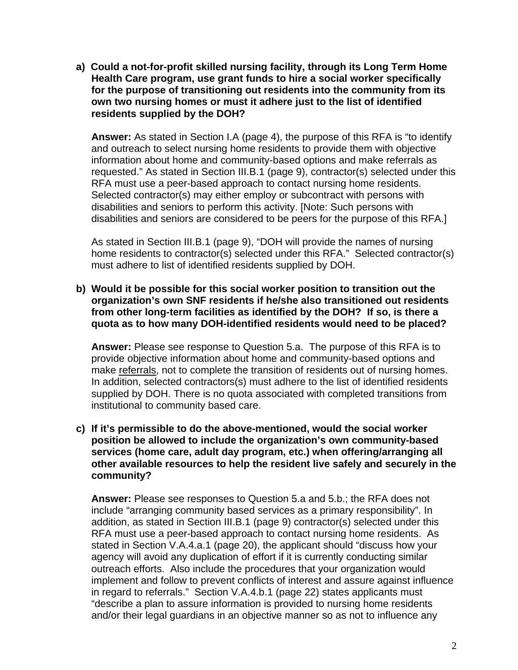**a) Could a not-for-profit skilled nursing facility, through its Long Term Home Health Care program, use grant funds to hire a social worker specifically for the purpose of transitioning out residents into the community from its own two nursing homes or must it adhere just to the list of identified residents supplied by the DOH?** 

**Answer:** As stated in Section I.A (page 4), the purpose of this RFA is "to identify and outreach to select nursing home residents to provide them with objective information about home and community-based options and make referrals as requested." As stated in Section III.B.1 (page 9), contractor(s) selected under this RFA must use a peer-based approach to contact nursing home residents. Selected contractor(s) may either employ or subcontract with persons with disabilities and seniors to perform this activity. [Note: Such persons with disabilities and seniors are considered to be peers for the purpose of this RFA.]

As stated in Section III.B.1 (page 9), "DOH will provide the names of nursing home residents to contractor(s) selected under this RFA." Selected contractor(s) must adhere to list of identified residents supplied by DOH.

**b) Would it be possible for this social worker position to transition out the organization's own SNF residents if he/she also transitioned out residents from other long-term facilities as identified by the DOH? If so, is there a quota as to how many DOH-identified residents would need to be placed?** 

**Answer:** Please see response to Question 5.a. The purpose of this RFA is to provide objective information about home and community-based options and make referrals, not to complete the transition of residents out of nursing homes. In addition, selected contractors(s) must adhere to the list of identified residents supplied by DOH. There is no quota associated with completed transitions from institutional to community based care.

**c) If it's permissible to do the above-mentioned, would the social worker position be allowed to include the organization's own community-based services (home care, adult day program, etc.) when offering/arranging all other available resources to help the resident live safely and securely in the community?** 

**Answer:** Please see responses to Question 5.a and 5.b.; the RFA does not include "arranging community based services as a primary responsibility". In addition, as stated in Section III.B.1 (page 9) contractor(s) selected under this RFA must use a peer-based approach to contact nursing home residents. As stated in Section V.A.4.a.1 (page 20), the applicant should "discuss how your agency will avoid any duplication of effort if it is currently conducting similar outreach efforts. Also include the procedures that your organization would implement and follow to prevent conflicts of interest and assure against influence in regard to referrals." Section V.A.4.b.1 (page 22) states applicants must "describe a plan to assure information is provided to nursing home residents and/or their legal guardians in an objective manner so as not to influence any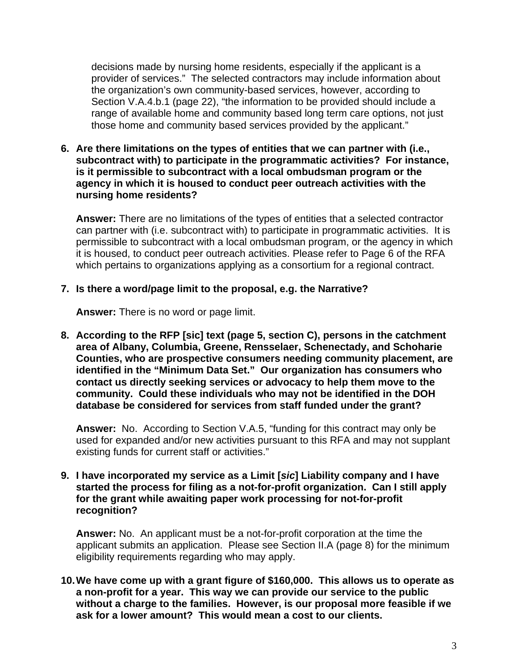decisions made by nursing home residents, especially if the applicant is a provider of services." The selected contractors may include information about the organization's own community-based services, however, according to Section V.A.4.b.1 (page 22), "the information to be provided should include a range of available home and community based long term care options, not just those home and community based services provided by the applicant."

**6. Are there limitations on the types of entities that we can partner with (i.e., subcontract with) to participate in the programmatic activities? For instance, is it permissible to subcontract with a local ombudsman program or the agency in which it is housed to conduct peer outreach activities with the nursing home residents?** 

**Answer:** There are no limitations of the types of entities that a selected contractor can partner with (i.e. subcontract with) to participate in programmatic activities. It is permissible to subcontract with a local ombudsman program, or the agency in which it is housed, to conduct peer outreach activities. Please refer to Page 6 of the RFA which pertains to organizations applying as a consortium for a regional contract.

## **7. Is there a word/page limit to the proposal, e.g. the Narrative?**

**Answer:** There is no word or page limit.

**8. According to the RFP [sic] text (page 5, section C), persons in the catchment area of Albany, Columbia, Greene, Rensselaer, Schenectady, and Schoharie Counties, who are prospective consumers needing community placement, are identified in the "Minimum Data Set." Our organization has consumers who contact us directly seeking services or advocacy to help them move to the community. Could these individuals who may not be identified in the DOH database be considered for services from staff funded under the grant?** 

**Answer:** No. According to Section V.A.5, "funding for this contract may only be used for expanded and/or new activities pursuant to this RFA and may not supplant existing funds for current staff or activities."

**9. I have incorporated my service as a Limit [***sic***] Liability company and I have started the process for filing as a not-for-profit organization. Can I still apply for the grant while awaiting paper work processing for not-for-profit recognition?** 

**Answer:** No. An applicant must be a not-for-profit corporation at the time the applicant submits an application. Please see Section II.A (page 8) for the minimum eligibility requirements regarding who may apply.

**10. We have come up with a grant figure of \$160,000. This allows us to operate as a non-profit for a year. This way we can provide our service to the public without a charge to the families. However, is our proposal more feasible if we ask for a lower amount? This would mean a cost to our clients.**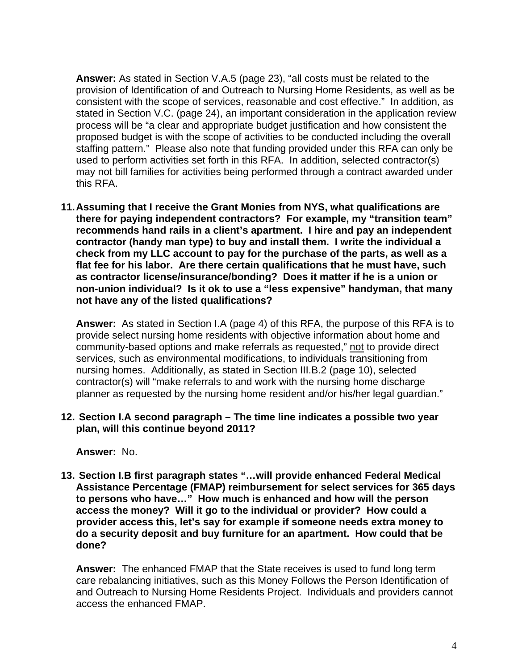**Answer:** As stated in Section V.A.5 (page 23), "all costs must be related to the provision of Identification of and Outreach to Nursing Home Residents, as well as be consistent with the scope of services, reasonable and cost effective." In addition, as stated in Section V.C. (page 24), an important consideration in the application review process will be "a clear and appropriate budget justification and how consistent the proposed budget is with the scope of activities to be conducted including the overall staffing pattern." Please also note that funding provided under this RFA can only be used to perform activities set forth in this RFA. In addition, selected contractor(s) may not bill families for activities being performed through a contract awarded under this RFA.

**11. Assuming that I receive the Grant Monies from NYS, what qualifications are there for paying independent contractors? For example, my "transition team" recommends hand rails in a client's apartment. I hire and pay an independent contractor (handy man type) to buy and install them. I write the individual a check from my LLC account to pay for the purchase of the parts, as well as a flat fee for his labor. Are there certain qualifications that he must have, such as contractor license/insurance/bonding? Does it matter if he is a union or non-union individual? Is it ok to use a "less expensive" handyman, that many not have any of the listed qualifications?** 

**Answer:** As stated in Section I.A (page 4) of this RFA, the purpose of this RFA is to provide select nursing home residents with objective information about home and community-based options and make referrals as requested," not to provide direct services, such as environmental modifications, to individuals transitioning from nursing homes. Additionally, as stated in Section III.B.2 (page 10), selected contractor(s) will "make referrals to and work with the nursing home discharge planner as requested by the nursing home resident and/or his/her legal guardian."

**12. Section I.A second paragraph – The time line indicates a possible two year plan, will this continue beyond 2011?**

**Answer:** No.

**13. Section I.B first paragraph states "…will provide enhanced Federal Medical Assistance Percentage (FMAP) reimbursement for select services for 365 days to persons who have…" How much is enhanced and how will the person access the money? Will it go to the individual or provider? How could a provider access this, let's say for example if someone needs extra money to do a security deposit and buy furniture for an apartment. How could that be done?**

**Answer:** The enhanced FMAP that the State receives is used to fund long term care rebalancing initiatives, such as this Money Follows the Person Identification of and Outreach to Nursing Home Residents Project. Individuals and providers cannot access the enhanced FMAP.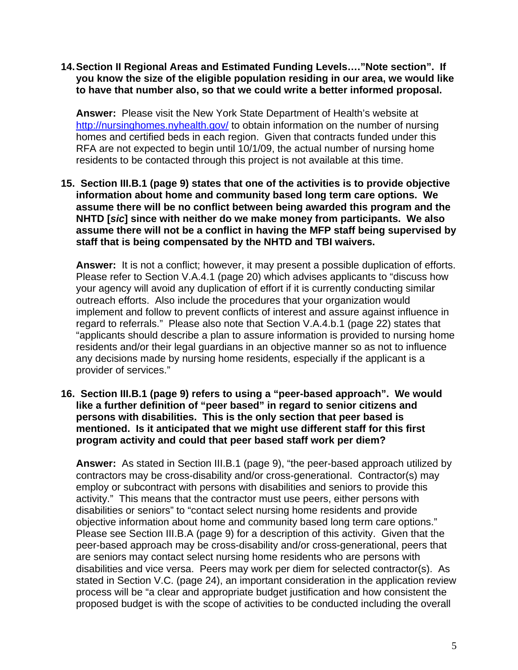**14. Section II Regional Areas and Estimated Funding Levels…."Note section". If you know the size of the eligible population residing in our area, we would like to have that number also, so that we could write a better informed proposal.**

**Answer:** Please visit the New York State Department of Health's website at <http://nursinghomes.nyhealth.gov/> to obtain information on the number of nursing homes and certified beds in each region. Given that contracts funded under this RFA are not expected to begin until 10/1/09, the actual number of nursing home residents to be contacted through this project is not available at this time.

**15. Section III.B.1 (page 9) states that one of the activities is to provide objective information about home and community based long term care options. We assume there will be no conflict between being awarded this program and the NHTD [***sic***] since with neither do we make money from participants. We also assume there will not be a conflict in having the MFP staff being supervised by staff that is being compensated by the NHTD and TBI waivers.** 

**Answer:** It is not a conflict; however, it may present a possible duplication of efforts. Please refer to Section V.A.4.1 (page 20) which advises applicants to "discuss how your agency will avoid any duplication of effort if it is currently conducting similar outreach efforts. Also include the procedures that your organization would implement and follow to prevent conflicts of interest and assure against influence in regard to referrals." Please also note that Section V.A.4.b.1 (page 22) states that "applicants should describe a plan to assure information is provided to nursing home residents and/or their legal guardians in an objective manner so as not to influence any decisions made by nursing home residents, especially if the applicant is a provider of services."

**16. Section III.B.1 (page 9) refers to using a "peer-based approach". We would like a further definition of "peer based" in regard to senior citizens and persons with disabilities. This is the only section that peer based is mentioned. Is it anticipated that we might use different staff for this first program activity and could that peer based staff work per diem?** 

**Answer:** As stated in Section III.B.1 (page 9), "the peer-based approach utilized by contractors may be cross-disability and/or cross-generational. Contractor(s) may employ or subcontract with persons with disabilities and seniors to provide this activity." This means that the contractor must use peers, either persons with disabilities or seniors" to "contact select nursing home residents and provide objective information about home and community based long term care options." Please see Section III.B.A (page 9) for a description of this activity. Given that the peer-based approach may be cross-disability and/or cross-generational, peers that are seniors may contact select nursing home residents who are persons with disabilities and vice versa. Peers may work per diem for selected contractor(s). As stated in Section V.C. (page 24), an important consideration in the application review process will be "a clear and appropriate budget justification and how consistent the proposed budget is with the scope of activities to be conducted including the overall